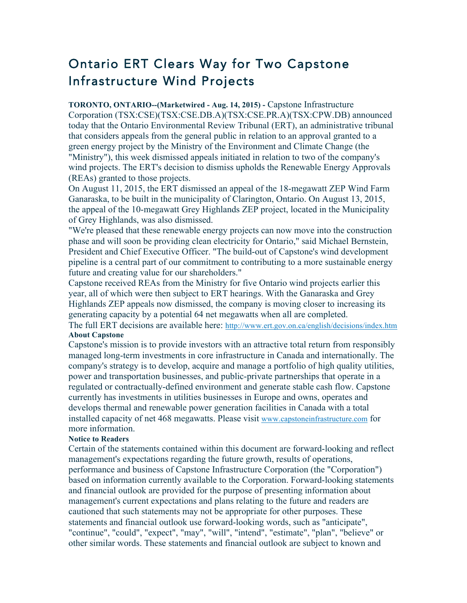## Ontario ERT Clears Way for Two Capstone Infrastructure Wind Projects

**TORONTO, ONTARIO--(Marketwired - Aug. 14, 2015) -** Capstone Infrastructure Corporation (TSX:CSE)(TSX:CSE.DB.A)(TSX:CSE.PR.A)(TSX:CPW.DB) announced today that the Ontario Environmental Review Tribunal (ERT), an administrative tribunal that considers appeals from the general public in relation to an approval granted to a green energy project by the Ministry of the Environment and Climate Change (the "Ministry"), this week dismissed appeals initiated in relation to two of the company's wind projects. The ERT's decision to dismiss upholds the Renewable Energy Approvals (REAs) granted to those projects.

On August 11, 2015, the ERT dismissed an appeal of the 18-megawatt ZEP Wind Farm Ganaraska, to be built in the municipality of Clarington, Ontario. On August 13, 2015, the appeal of the 10-megawatt Grey Highlands ZEP project, located in the Municipality of Grey Highlands, was also dismissed.

"We're pleased that these renewable energy projects can now move into the construction phase and will soon be providing clean electricity for Ontario," said Michael Bernstein, President and Chief Executive Officer. "The build-out of Capstone's wind development pipeline is a central part of our commitment to contributing to a more sustainable energy future and creating value for our shareholders."

Capstone received REAs from the Ministry for five Ontario wind projects earlier this year, all of which were then subject to ERT hearings. With the Ganaraska and Grey Highlands ZEP appeals now dismissed, the company is moving closer to increasing its generating capacity by a potential 64 net megawatts when all are completed.

The full ERT decisions are available here: http://www.ert.gov.on.ca/english/decisions/index.htm **About Capstone**

Capstone's mission is to provide investors with an attractive total return from responsibly managed long-term investments in core infrastructure in Canada and internationally. The company's strategy is to develop, acquire and manage a portfolio of high quality utilities, power and transportation businesses, and public-private partnerships that operate in a regulated or contractually-defined environment and generate stable cash flow. Capstone currently has investments in utilities businesses in Europe and owns, operates and develops thermal and renewable power generation facilities in Canada with a total installed capacity of net 468 megawatts. Please visit www.capstoneinfrastructure.com for more information.

## **Notice to Readers**

Certain of the statements contained within this document are forward-looking and reflect management's expectations regarding the future growth, results of operations, performance and business of Capstone Infrastructure Corporation (the "Corporation") based on information currently available to the Corporation. Forward-looking statements and financial outlook are provided for the purpose of presenting information about management's current expectations and plans relating to the future and readers are cautioned that such statements may not be appropriate for other purposes. These statements and financial outlook use forward-looking words, such as "anticipate", "continue", "could", "expect", "may", "will", "intend", "estimate", "plan", "believe" or other similar words. These statements and financial outlook are subject to known and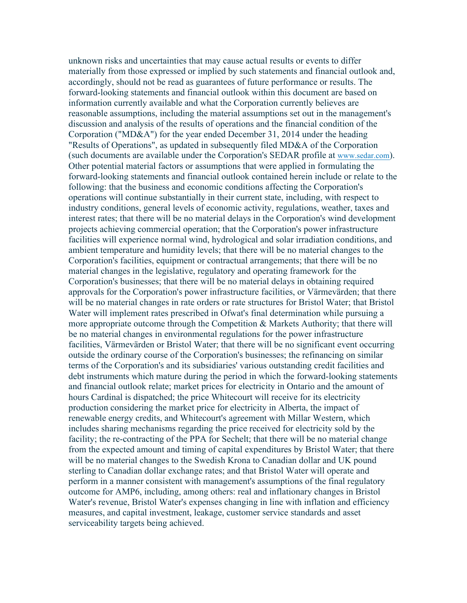unknown risks and uncertainties that may cause actual results or events to differ materially from those expressed or implied by such statements and financial outlook and, accordingly, should not be read as guarantees of future performance or results. The forward-looking statements and financial outlook within this document are based on information currently available and what the Corporation currently believes are reasonable assumptions, including the material assumptions set out in the management's discussion and analysis of the results of operations and the financial condition of the Corporation ("MD&A") for the year ended December 31, 2014 under the heading "Results of Operations", as updated in subsequently filed MD&A of the Corporation (such documents are available under the Corporation's SEDAR profile at www.sedar.com). Other potential material factors or assumptions that were applied in formulating the forward-looking statements and financial outlook contained herein include or relate to the following: that the business and economic conditions affecting the Corporation's operations will continue substantially in their current state, including, with respect to industry conditions, general levels of economic activity, regulations, weather, taxes and interest rates; that there will be no material delays in the Corporation's wind development projects achieving commercial operation; that the Corporation's power infrastructure facilities will experience normal wind, hydrological and solar irradiation conditions, and ambient temperature and humidity levels; that there will be no material changes to the Corporation's facilities, equipment or contractual arrangements; that there will be no material changes in the legislative, regulatory and operating framework for the Corporation's businesses; that there will be no material delays in obtaining required approvals for the Corporation's power infrastructure facilities, or Värmevärden; that there will be no material changes in rate orders or rate structures for Bristol Water; that Bristol Water will implement rates prescribed in Ofwat's final determination while pursuing a more appropriate outcome through the Competition & Markets Authority; that there will be no material changes in environmental regulations for the power infrastructure facilities, Värmevärden or Bristol Water; that there will be no significant event occurring outside the ordinary course of the Corporation's businesses; the refinancing on similar terms of the Corporation's and its subsidiaries' various outstanding credit facilities and debt instruments which mature during the period in which the forward-looking statements and financial outlook relate; market prices for electricity in Ontario and the amount of hours Cardinal is dispatched; the price Whitecourt will receive for its electricity production considering the market price for electricity in Alberta, the impact of renewable energy credits, and Whitecourt's agreement with Millar Western, which includes sharing mechanisms regarding the price received for electricity sold by the facility; the re-contracting of the PPA for Sechelt; that there will be no material change from the expected amount and timing of capital expenditures by Bristol Water; that there will be no material changes to the Swedish Krona to Canadian dollar and UK pound sterling to Canadian dollar exchange rates; and that Bristol Water will operate and perform in a manner consistent with management's assumptions of the final regulatory outcome for AMP6, including, among others: real and inflationary changes in Bristol Water's revenue, Bristol Water's expenses changing in line with inflation and efficiency measures, and capital investment, leakage, customer service standards and asset serviceability targets being achieved.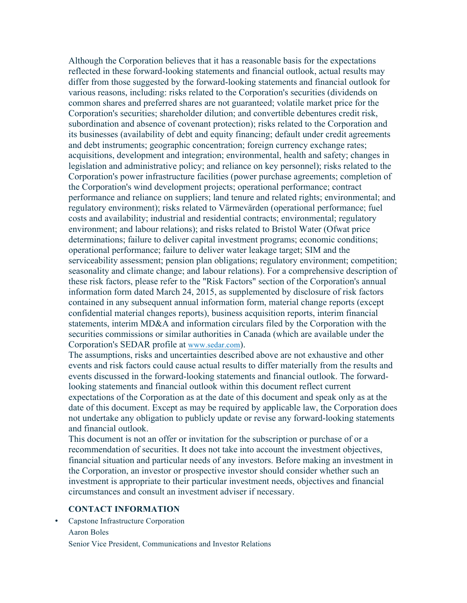Although the Corporation believes that it has a reasonable basis for the expectations reflected in these forward-looking statements and financial outlook, actual results may differ from those suggested by the forward-looking statements and financial outlook for various reasons, including: risks related to the Corporation's securities (dividends on common shares and preferred shares are not guaranteed; volatile market price for the Corporation's securities; shareholder dilution; and convertible debentures credit risk, subordination and absence of covenant protection); risks related to the Corporation and its businesses (availability of debt and equity financing; default under credit agreements and debt instruments; geographic concentration; foreign currency exchange rates; acquisitions, development and integration; environmental, health and safety; changes in legislation and administrative policy; and reliance on key personnel); risks related to the Corporation's power infrastructure facilities (power purchase agreements; completion of the Corporation's wind development projects; operational performance; contract performance and reliance on suppliers; land tenure and related rights; environmental; and regulatory environment); risks related to Värmevärden (operational performance; fuel costs and availability; industrial and residential contracts; environmental; regulatory environment; and labour relations); and risks related to Bristol Water (Ofwat price determinations; failure to deliver capital investment programs; economic conditions; operational performance; failure to deliver water leakage target; SIM and the serviceability assessment; pension plan obligations; regulatory environment; competition; seasonality and climate change; and labour relations). For a comprehensive description of these risk factors, please refer to the "Risk Factors" section of the Corporation's annual information form dated March 24, 2015, as supplemented by disclosure of risk factors contained in any subsequent annual information form, material change reports (except confidential material changes reports), business acquisition reports, interim financial statements, interim MD&A and information circulars filed by the Corporation with the securities commissions or similar authorities in Canada (which are available under the Corporation's SEDAR profile at www.sedar.com).

The assumptions, risks and uncertainties described above are not exhaustive and other events and risk factors could cause actual results to differ materially from the results and events discussed in the forward-looking statements and financial outlook. The forwardlooking statements and financial outlook within this document reflect current expectations of the Corporation as at the date of this document and speak only as at the date of this document. Except as may be required by applicable law, the Corporation does not undertake any obligation to publicly update or revise any forward-looking statements and financial outlook.

This document is not an offer or invitation for the subscription or purchase of or a recommendation of securities. It does not take into account the investment objectives, financial situation and particular needs of any investors. Before making an investment in the Corporation, an investor or prospective investor should consider whether such an investment is appropriate to their particular investment needs, objectives and financial circumstances and consult an investment adviser if necessary.

## **CONTACT INFORMATION**

• Capstone Infrastructure Corporation Aaron Boles Senior Vice President, Communications and Investor Relations